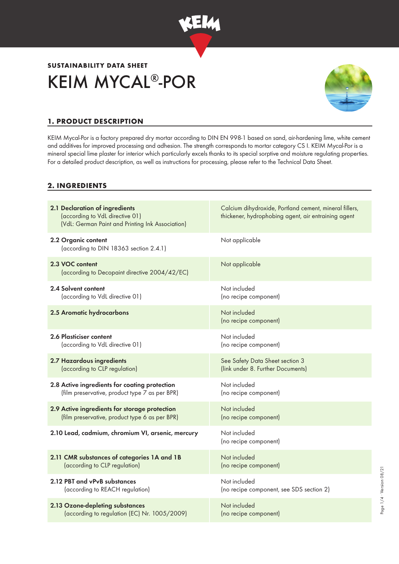

# **SUSTAINABILITY DATA SHEET** KEIM MYCAL®-POR



Page 1/4 ∙ Version 08/21

Page 1/4 · Version 08/21

## **1. PRODUCT DESCRIPTION**

KEIM Mycal-Por is a factory prepared dry mortar according to DIN EN 998-1 based on sand, air-hardening lime, white cement and additives for improved processing and adhesion. The strength corresponds to mortar category CS I. KEIM Mycal-Por is a mineral special lime plaster for interior which particularly excels thanks to its special sorptive and moisture regulating properties. For a detailed product description, as well as instructions for processing, please refer to the Technical Data Sheet.

#### **2. INGREDIENTS**

| 2.1 Declaration of ingredients<br>(according to VdL directive 01)<br>(VdL: German Paint and Printing Ink Association) | Calcium dihydroxide, Portland cement, mineral fillers,<br>thickener, hydrophobing agent, air entraining agent |
|-----------------------------------------------------------------------------------------------------------------------|---------------------------------------------------------------------------------------------------------------|
| 2.2 Organic content<br>(according to DIN 18363 section 2.4.1)                                                         | Not applicable                                                                                                |
| 2.3 VOC content<br>(according to Decopaint directive 2004/42/EC)                                                      | Not applicable                                                                                                |
| 2.4 Solvent content                                                                                                   | Not included                                                                                                  |
| (according to VdL directive 01)                                                                                       | (no recipe component)                                                                                         |
| 2.5 Aromatic hydrocarbons                                                                                             | Not included<br>(no recipe component)                                                                         |
| 2.6 Plasticiser content                                                                                               | Not included                                                                                                  |
| (according to VdL directive 01)                                                                                       | (no recipe component)                                                                                         |
| 2.7 Hazardous ingredients                                                                                             | See Safety Data Sheet section 3                                                                               |
| (according to CLP regulation)                                                                                         | (link under 8. Further Documents)                                                                             |
| 2.8 Active ingredients for coating protection                                                                         | Not included                                                                                                  |
| (film preservative, product type 7 as per BPR)                                                                        | (no recipe component)                                                                                         |
| 2.9 Active ingredients for storage protection                                                                         | Not included                                                                                                  |
| (film preservative, product type 6 as per BPR)                                                                        | (no recipe component)                                                                                         |
| 2.10 Lead, cadmium, chromium VI, arsenic, mercury                                                                     | Not included<br>(no recipe component)                                                                         |
| 2.11 CMR substances of categories 1A and 1B                                                                           | Not included                                                                                                  |
| (according to CLP regulation)                                                                                         | (no recipe component)                                                                                         |
| 2.12 PBT and vPvB substances                                                                                          | Not included                                                                                                  |
| (according to REACH regulation)                                                                                       | (no recipe component, see SDS section 2)                                                                      |
| 2.13 Ozone-depleting substances                                                                                       | Not included                                                                                                  |
| (according to regulation (EC) Nr. 1005/2009)                                                                          | (no recipe component)                                                                                         |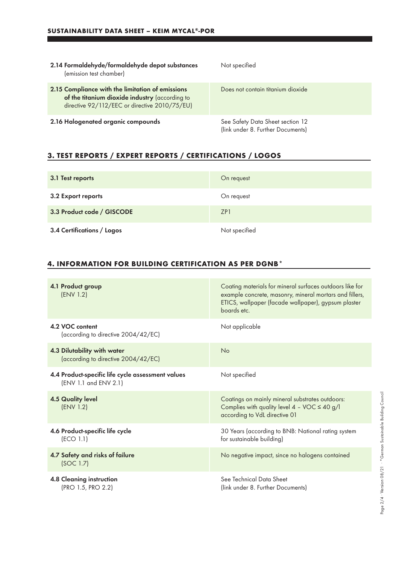| 2.14 Formaldehyde/formaldehyde depot substances<br>(emission test chamber)                                                                          | Not specified                                                         |
|-----------------------------------------------------------------------------------------------------------------------------------------------------|-----------------------------------------------------------------------|
| 2.15 Compliance with the limitation of emissions<br>of the titanium dioxide industry (according to<br>directive 92/112/EEC or directive 2010/75/EU) | Does not contain titanium dioxide                                     |
| 2.16 Halogenated organic compounds                                                                                                                  | See Safety Data Sheet section 12<br>(link under 8. Further Documents) |

# **3. TEST REPORTS / EXPERT REPORTS / CERTIFICATIONS / LOGOS**

| 3.1 Test reports           | On request      |
|----------------------------|-----------------|
| 3.2 Export reports         | On request      |
| 3.3 Product code / GISCODE | ZP <sub>1</sub> |
| 3.4 Certifications / Logos | Not specified   |

# **4. INFORMATION FOR BUILDING CERTIFICATION AS PER DGNB\***

| 4.1 Product group<br>(ENV 1.2)                                             | Coating materials for mineral surfaces outdoors like for<br>example concrete, masonry, mineral mortars and fillers,<br>ETICS, wallpaper (facade wallpaper), gypsum plaster<br>boards etc. |
|----------------------------------------------------------------------------|-------------------------------------------------------------------------------------------------------------------------------------------------------------------------------------------|
| 4.2 VOC content<br>(according to directive 2004/42/EC)                     | Not applicable                                                                                                                                                                            |
| 4.3 Dilutability with water<br>(according to directive 2004/42/EC)         | No                                                                                                                                                                                        |
| 4.4 Product-specific life cycle assessment values<br>(ENV 1.1 and ENV 2.1) | Not specified                                                                                                                                                                             |
| <b>4.5 Quality level</b><br>(ENV 1.2)                                      | Coatings on mainly mineral substrates outdoors:<br>Complies with quality level $4 - \text{VOC} \le 40 \text{ g/l}$<br>according to VdL directive 01                                       |
| 4.6 Product-specific life cycle<br>(ECO 1.1)                               | 30 Years (according to BNB: National rating system<br>for sustainable building)                                                                                                           |
| 4.7 Safety and risks of failure<br>(SOC 1.7)                               | No negative impact, since no halogens contained                                                                                                                                           |
| 4.8 Cleaning instruction<br>(PRO 1.5, PRO 2.2)                             | See Technical Data Sheet<br>(link under 8. Further Documents)                                                                                                                             |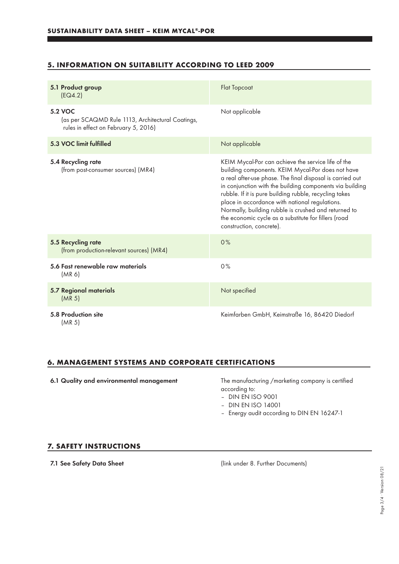## **5. INFORMATION ON SUITABILITY ACCORDING TO LEED 2009**

| 5.1 Product group<br>[EQ4.2]                                                                                | <b>Flat Topcoat</b>                                                                                                                                                                                                                                                                                                                                                                                                                                                                      |
|-------------------------------------------------------------------------------------------------------------|------------------------------------------------------------------------------------------------------------------------------------------------------------------------------------------------------------------------------------------------------------------------------------------------------------------------------------------------------------------------------------------------------------------------------------------------------------------------------------------|
| <b>5.2 VOC</b><br>(as per SCAQMD Rule 1113, Architectural Coatings,<br>rules in effect on February 5, 2016) | Not applicable                                                                                                                                                                                                                                                                                                                                                                                                                                                                           |
| 5.3 VOC limit fulfilled                                                                                     | Not applicable                                                                                                                                                                                                                                                                                                                                                                                                                                                                           |
| 5.4 Recycling rate<br>(from post-consumer sources) (MR4)                                                    | KEIM Mycal-Por can achieve the service life of the<br>building components. KEIM Mycal-Por does not have<br>a real after-use phase. The final disposal is carried out<br>in conjunction with the building components via building<br>rubble. If it is pure building rubble, recycling takes<br>place in accordance with national regulations.<br>Normally, building rubble is crushed and returned to<br>the economic cycle as a substitute for fillers (road<br>construction, concrete). |
| 5.5 Recycling rate<br>(from production-relevant sources) (MR4)                                              | 0%                                                                                                                                                                                                                                                                                                                                                                                                                                                                                       |
| 5.6 Fast renewable raw materials<br>(MR <sub>6</sub> )                                                      | 0%                                                                                                                                                                                                                                                                                                                                                                                                                                                                                       |
| <b>5.7 Regional materials</b><br>(MR <sub>5</sub> )                                                         | Not specified                                                                                                                                                                                                                                                                                                                                                                                                                                                                            |
| 5.8 Production site<br>(MR <sub>5</sub> )                                                                   | Keimfarben GmbH, Keimstraße 16, 86420 Diedorf                                                                                                                                                                                                                                                                                                                                                                                                                                            |

### **6. MANAGEMENT SYSTEMS AND CORPORATE CERTIFICATIONS**

6.1 Quality and environmental management The manufacturing /marketing company is certified

according to:

- DIN EN ISO 9001
- DIN EN ISO 14001
- Energy audit according to DIN EN 16247-1

#### **7. SAFETY INSTRUCTIONS**

7.1 See Safety Data Sheet (link under 8. Further Documents)